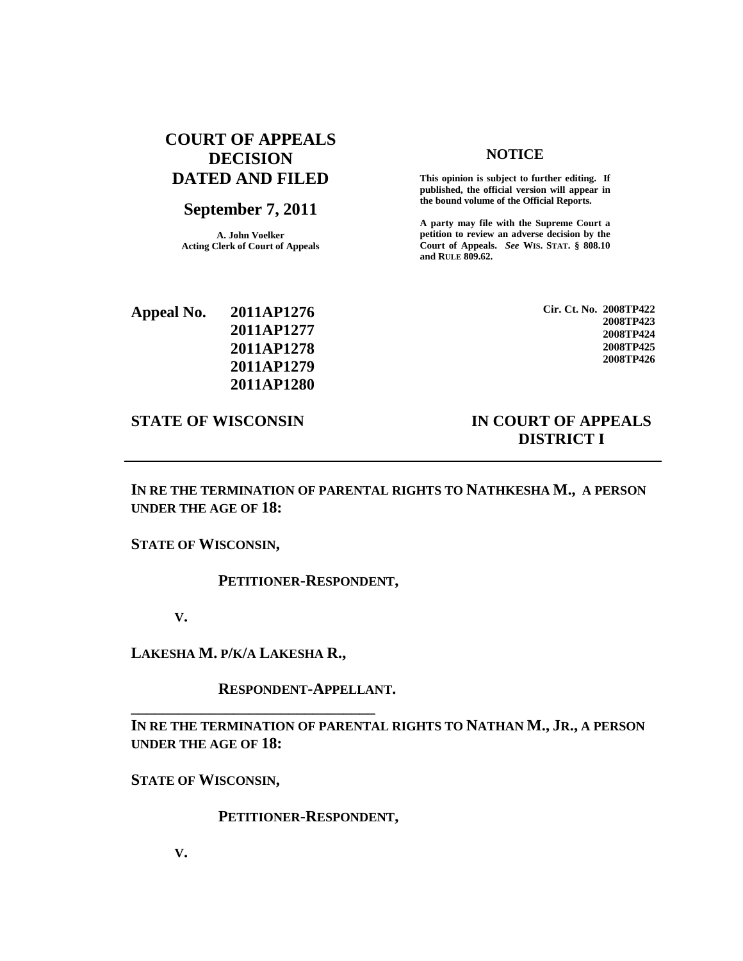# **COURT OF APPEALS DECISION DATED AND FILED**

## **September 7, 2011**

**A. John Voelker Acting Clerk of Court of Appeals**

### **NOTICE**

**This opinion is subject to further editing. If published, the official version will appear in the bound volume of the Official Reports.**

**A party may file with the Supreme Court a petition to review an adverse decision by the Court of Appeals.** *See* **WIS. STAT. § 808.10 and RULE 809.62.**

| Appeal No. | 2011AP1276 |
|------------|------------|
|            | 2011AP1277 |
|            | 2011AP1278 |
|            | 2011AP1279 |
|            | 2011AP1280 |

**Cir. Ct. No. 2008TP422 2008TP423 2008TP424 2008TP425 2008TP426**

## **STATE OF WISCONSIN IN COURT OF APPEALS DISTRICT I**

**IN RE THE TERMINATION OF PARENTAL RIGHTS TO NATHKESHA M., A PERSON UNDER THE AGE OF 18:**

**STATE OF WISCONSIN,**

### **PETITIONER-RESPONDENT,**

**V.**

**LAKESHA M. P/K/A LAKESHA R.,**

**\_\_\_\_\_\_\_\_\_\_\_\_\_\_\_\_\_\_\_\_\_\_\_\_\_\_\_\_\_\_\_**

**RESPONDENT-APPELLANT.**

**IN RE THE TERMINATION OF PARENTAL RIGHTS TO NATHAN M., JR., A PERSON UNDER THE AGE OF 18:**

**STATE OF WISCONSIN,**

**PETITIONER-RESPONDENT,**

**V.**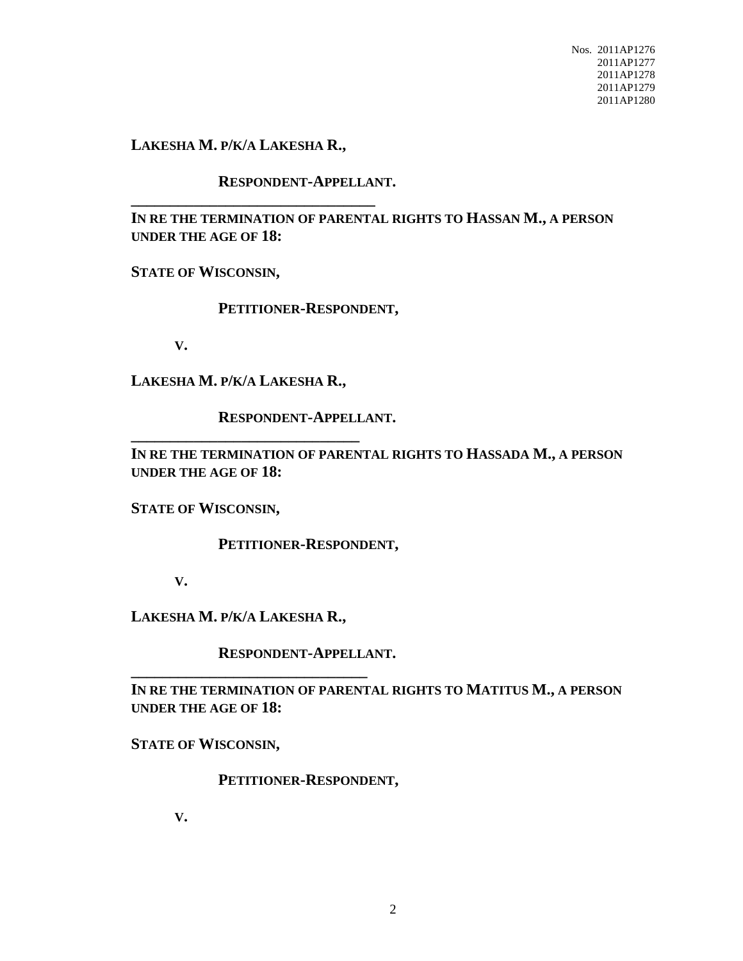Nos. 2011AP1276 2011AP1277 2011AP1278 2011AP1279 2011AP1280

**LAKESHA M. P/K/A LAKESHA R.,**

**\_\_\_\_\_\_\_\_\_\_\_\_\_\_\_\_\_\_\_\_\_\_\_\_\_\_\_\_\_\_\_**

**RESPONDENT-APPELLANT.**

**IN RE THE TERMINATION OF PARENTAL RIGHTS TO HASSAN M., A PERSON UNDER THE AGE OF 18:**

**STATE OF WISCONSIN,**

**PETITIONER-RESPONDENT,**

**V.**

**LAKESHA M. P/K/A LAKESHA R.,**

**\_\_\_\_\_\_\_\_\_\_\_\_\_\_\_\_\_\_\_\_\_\_\_\_\_\_\_\_\_**

**RESPONDENT-APPELLANT.**

**IN RE THE TERMINATION OF PARENTAL RIGHTS TO HASSADA M., A PERSON UNDER THE AGE OF 18:**

**STATE OF WISCONSIN,**

**PETITIONER-RESPONDENT,**

**V.**

**LAKESHA M. P/K/A LAKESHA R.,**

**\_\_\_\_\_\_\_\_\_\_\_\_\_\_\_\_\_\_\_\_\_\_\_\_\_\_\_\_\_\_**

**RESPONDENT-APPELLANT.**

**IN RE THE TERMINATION OF PARENTAL RIGHTS TO MATITUS M., A PERSON UNDER THE AGE OF 18:**

**STATE OF WISCONSIN,**

**PETITIONER-RESPONDENT,**

**V.**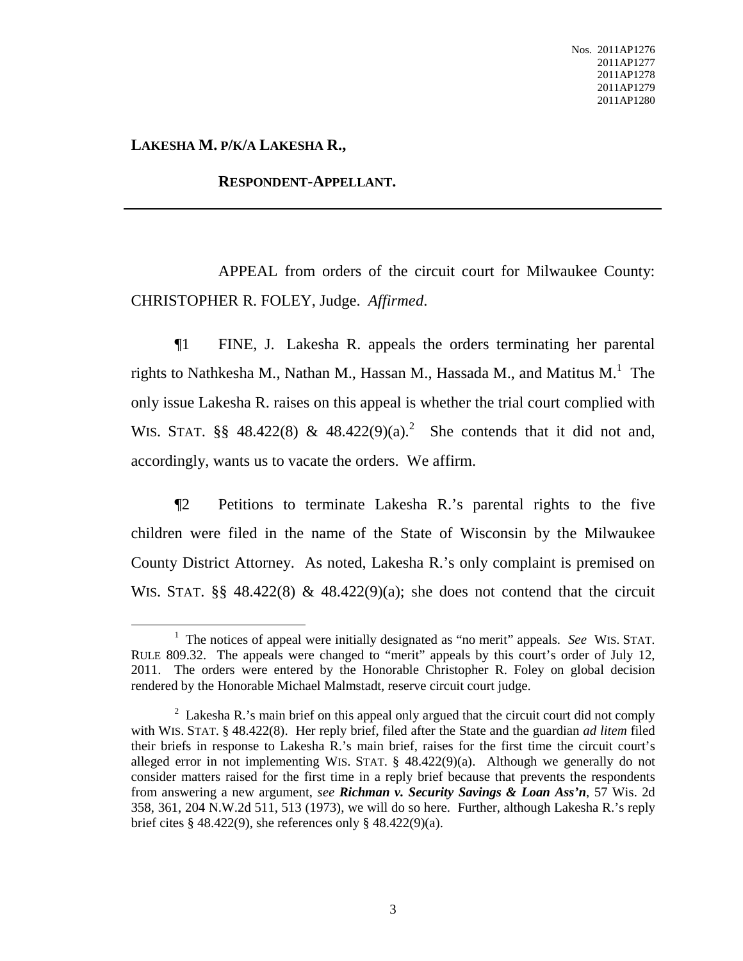**LAKESHA M. P/K/A LAKESHA R.,**

### **RESPONDENT-APPELLANT.**

APPEAL from orders of the circuit court for Milwaukee County: CHRISTOPHER R. FOLEY, Judge. *Affirmed*.

¶1 FINE, J. Lakesha R. appeals the orders terminating her parental rights to Nathkesha M., Nathan M., Hassan M., Hassada M., and Matitus M.<sup>1</sup> The only issue Lakesha R. raises on this appeal is whether the trial court complied with WIS. STAT.  $\S\S$  48.422(8) & 48.422(9)(a).<sup>2</sup> She contends that it did not and, accordingly, wants us to vacate the orders. We affirm.

¶2 Petitions to terminate Lakesha R.'s parental rights to the five children were filed in the name of the State of Wisconsin by the Milwaukee County District Attorney. As noted, Lakesha R.'s only complaint is premised on WIS. STAT.  $\S$ § 48.422(8) & 48.422(9)(a); she does not contend that the circuit

<sup>1</sup> The notices of appeal were initially designated as "no merit" appeals. *See* WIS. STAT. RULE 809.32. The appeals were changed to "merit" appeals by this court's order of July 12, 2011. The orders were entered by the Honorable Christopher R. Foley on global decision rendered by the Honorable Michael Malmstadt, reserve circuit court judge.

<sup>&</sup>lt;sup>2</sup> Lakesha R.'s main brief on this appeal only argued that the circuit court did not comply with WIS. STAT. § 48.422(8). Her reply brief, filed after the State and the guardian *ad litem* filed their briefs in response to Lakesha R.'s main brief, raises for the first time the circuit court's alleged error in not implementing WIS. STAT. § 48.422(9)(a). Although we generally do not consider matters raised for the first time in a reply brief because that prevents the respondents from answering a new argument, *see Richman v. Security Savings & Loan Ass'n*, 57 Wis. 2d 358, 361, 204 N.W.2d 511, 513 (1973), we will do so here. Further, although Lakesha R.'s reply brief cites § 48.422(9), she references only § 48.422(9)(a).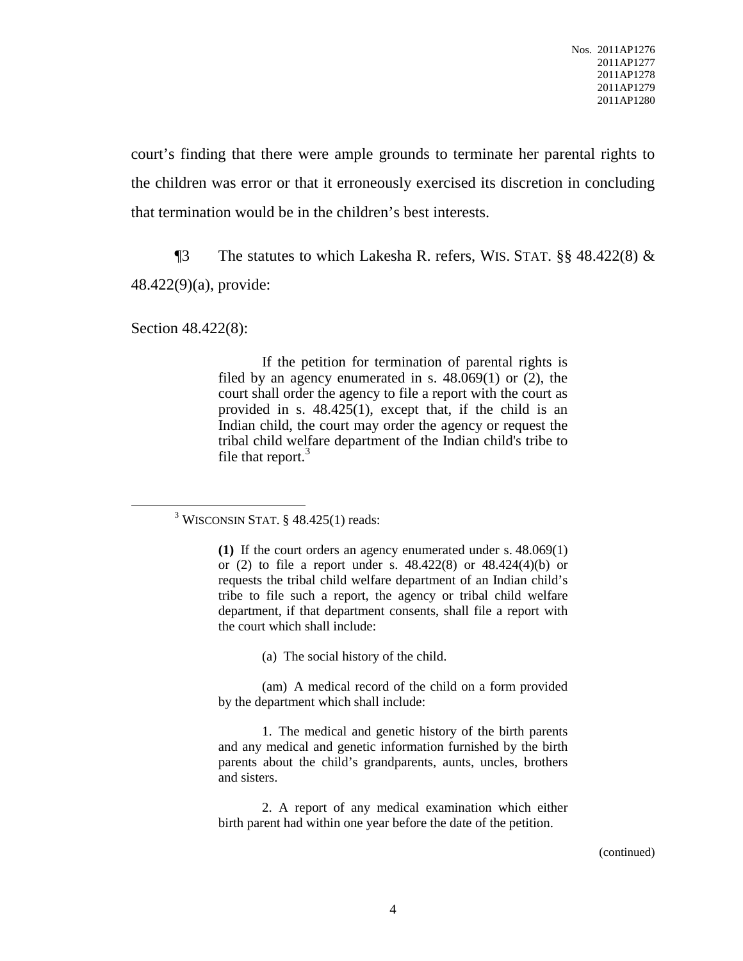court's finding that there were ample grounds to terminate her parental rights to the children was error or that it erroneously exercised its discretion in concluding that termination would be in the children's best interests.

¶3 The statutes to which Lakesha R. refers, WIS. STAT. §§ 48.422(8) & 48.422(9)(a), provide:

Section 48.422(8):

If the petition for termination of parental rights is filed by an agency enumerated in s. 48.069(1) or (2), the court shall order the agency to file a report with the court as provided in s. 48.425(1), except that, if the child is an Indian child, the court may order the agency or request the tribal child welfare department of the Indian child's tribe to file that report.<sup>3</sup>

(a) The social history of the child.

(am) A medical record of the child on a form provided by the department which shall include:

1. The medical and genetic history of the birth parents and any medical and genetic information furnished by the birth parents about the child's grandparents, aunts, uncles, brothers and sisters.

2. A report of any medical examination which either birth parent had within one year before the date of the petition.

(continued)

<sup>&</sup>lt;sup>3</sup> WISCONSIN STAT. § 48.425(1) reads:

**<sup>(1)</sup>** If the court orders an agency enumerated under s. 48.069(1) or (2) to file a report under s. 48.422(8) or 48.424(4)(b) or requests the tribal child welfare department of an Indian child's tribe to file such a report, the agency or tribal child welfare department, if that department consents, shall file a report with the court which shall include: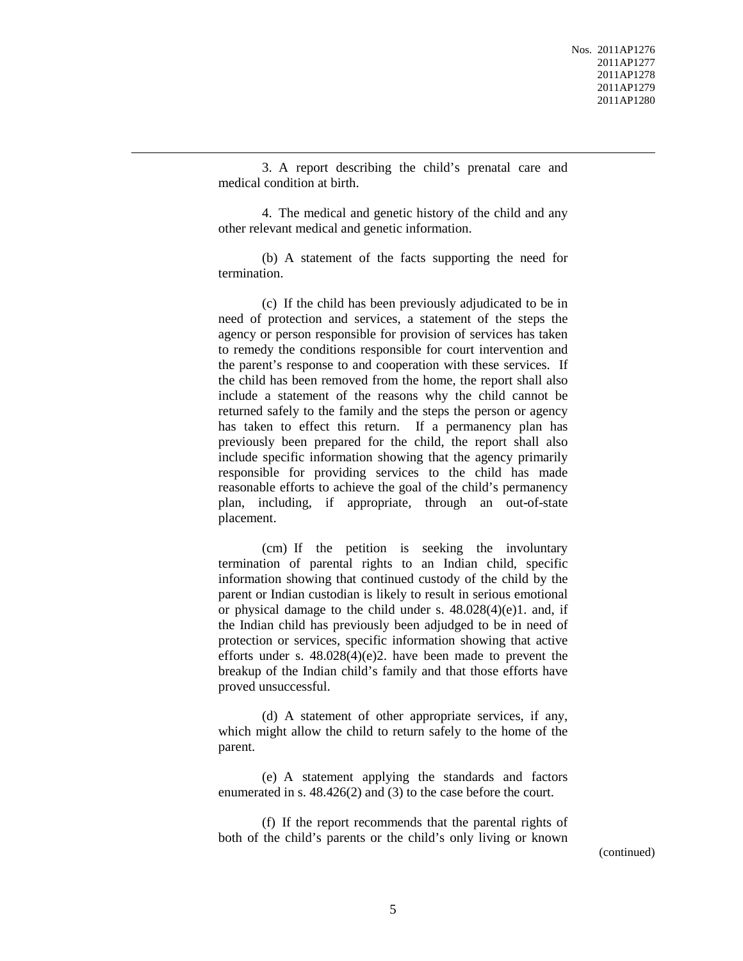3. A report describing the child's prenatal care and medical condition at birth.

4. The medical and genetic history of the child and any other relevant medical and genetic information.

(b) A statement of the facts supporting the need for termination.

(c) If the child has been previously adjudicated to be in need of protection and services, a statement of the steps the agency or person responsible for provision of services has taken to remedy the conditions responsible for court intervention and the parent's response to and cooperation with these services. If the child has been removed from the home, the report shall also include a statement of the reasons why the child cannot be returned safely to the family and the steps the person or agency has taken to effect this return. If a permanency plan has previously been prepared for the child, the report shall also include specific information showing that the agency primarily responsible for providing services to the child has made reasonable efforts to achieve the goal of the child's permanency plan, including, if appropriate, through an out-of-state placement.

(cm) If the petition is seeking the involuntary termination of parental rights to an Indian child, specific information showing that continued custody of the child by the parent or Indian custodian is likely to result in serious emotional or physical damage to the child under s.  $48.028(4)(e)1$ . and, if the Indian child has previously been adjudged to be in need of protection or services, specific information showing that active efforts under s. 48.028(4)(e)2. have been made to prevent the breakup of the Indian child's family and that those efforts have proved unsuccessful.

(d) A statement of other appropriate services, if any, which might allow the child to return safely to the home of the parent.

(e) A statement applying the standards and factors enumerated in s. 48.426(2) and (3) to the case before the court.

(f) If the report recommends that the parental rights of both of the child's parents or the child's only living or known

(continued)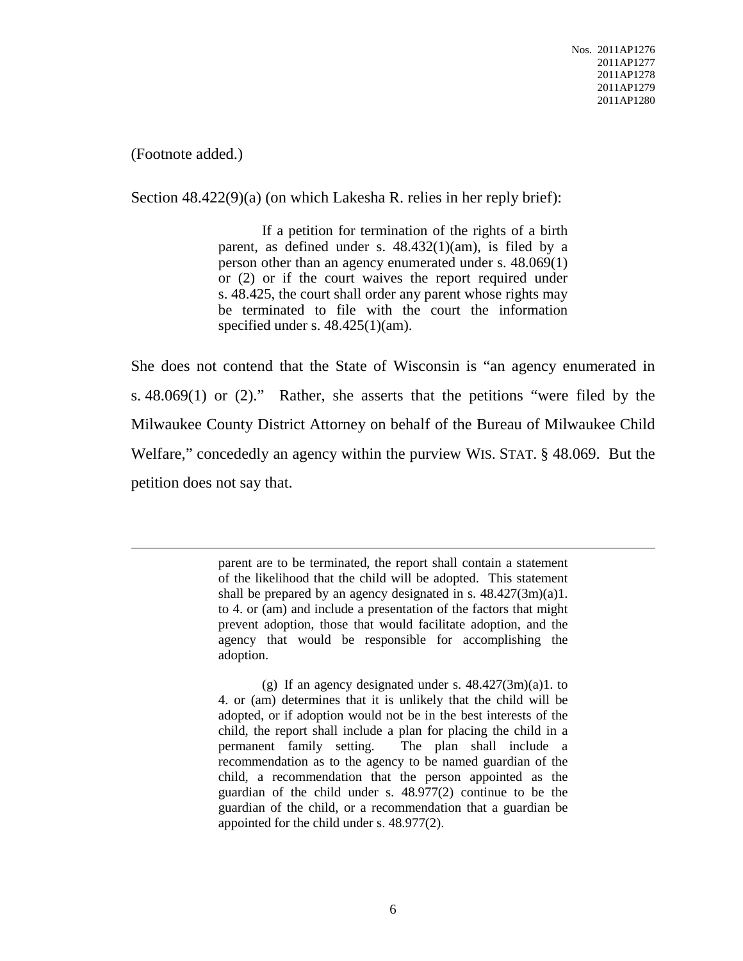(Footnote added.)

Section 48.422(9)(a) (on which Lakesha R. relies in her reply brief):

If a petition for termination of the rights of a birth parent, as defined under s. 48.432(1)(am), is filed by a person other than an agency enumerated under s. 48.069(1) or (2) or if the court waives the report required under s. 48.425, the court shall order any parent whose rights may be terminated to file with the court the information specified under s.  $48.425(1)(am)$ .

She does not contend that the State of Wisconsin is "an agency enumerated in s. 48.069(1) or (2)." Rather, she asserts that the petitions "were filed by the Milwaukee County District Attorney on behalf of the Bureau of Milwaukee Child Welfare," concededly an agency within the purview WIS. STAT. § 48.069. But the petition does not say that.

> parent are to be terminated, the report shall contain a statement of the likelihood that the child will be adopted. This statement shall be prepared by an agency designated in s.  $48.427(3m)(a)1$ . to 4. or (am) and include a presentation of the factors that might prevent adoption, those that would facilitate adoption, and the agency that would be responsible for accomplishing the adoption.

> (g) If an agency designated under s.  $48.427(3m)(a)1$ . to 4. or (am) determines that it is unlikely that the child will be adopted, or if adoption would not be in the best interests of the child, the report shall include a plan for placing the child in a permanent family setting. The plan shall include a recommendation as to the agency to be named guardian of the child, a recommendation that the person appointed as the guardian of the child under s. 48.977(2) continue to be the guardian of the child, or a recommendation that a guardian be appointed for the child under s. 48.977(2).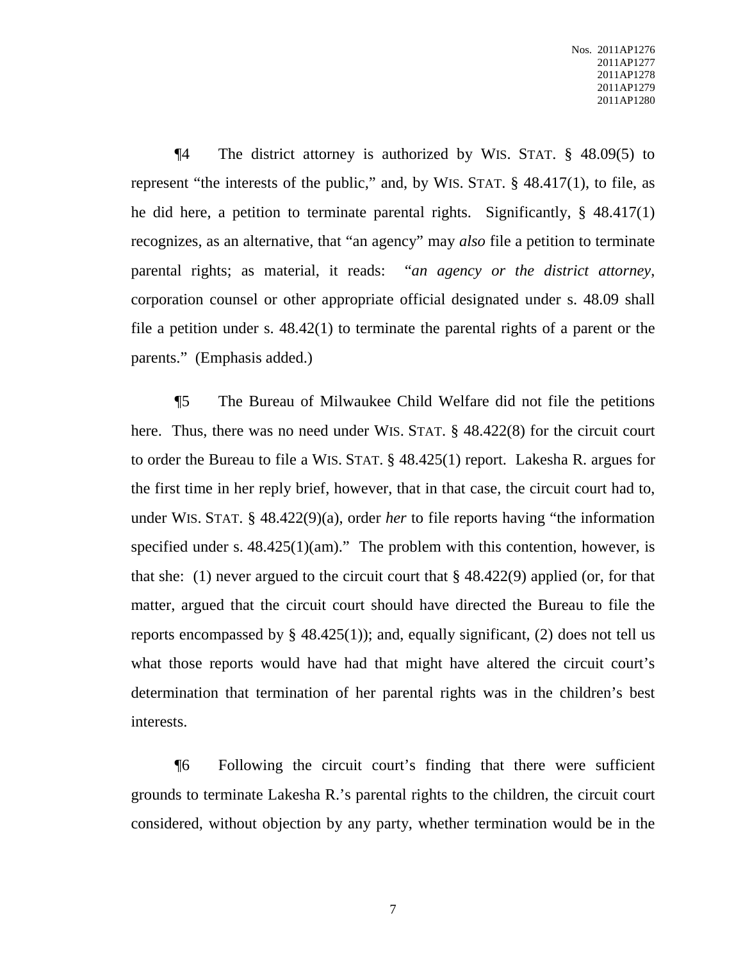¶4 The district attorney is authorized by WIS. STAT. § 48.09(5) to represent "the interests of the public," and, by WIS. STAT. § 48.417(1), to file, as he did here, a petition to terminate parental rights. Significantly, § 48.417(1) recognizes, as an alternative, that "an agency" may *also* file a petition to terminate parental rights; as material, it reads: "*an agency or the district attorney*, corporation counsel or other appropriate official designated under s. 48.09 shall file a petition under s. 48.42(1) to terminate the parental rights of a parent or the parents." (Emphasis added.)

¶5 The Bureau of Milwaukee Child Welfare did not file the petitions here. Thus, there was no need under WIS. STAT. § 48.422(8) for the circuit court to order the Bureau to file a WIS. STAT. § 48.425(1) report. Lakesha R. argues for the first time in her reply brief, however, that in that case, the circuit court had to, under WIS. STAT. § 48.422(9)(a), order *her* to file reports having "the information specified under s.  $48.425(1)(am)$ ." The problem with this contention, however, is that she: (1) never argued to the circuit court that  $\S$  48.422(9) applied (or, for that matter, argued that the circuit court should have directed the Bureau to file the reports encompassed by  $\S$  48.425(1)); and, equally significant, (2) does not tell us what those reports would have had that might have altered the circuit court's determination that termination of her parental rights was in the children's best interests.

¶6 Following the circuit court's finding that there were sufficient grounds to terminate Lakesha R.'s parental rights to the children, the circuit court considered, without objection by any party, whether termination would be in the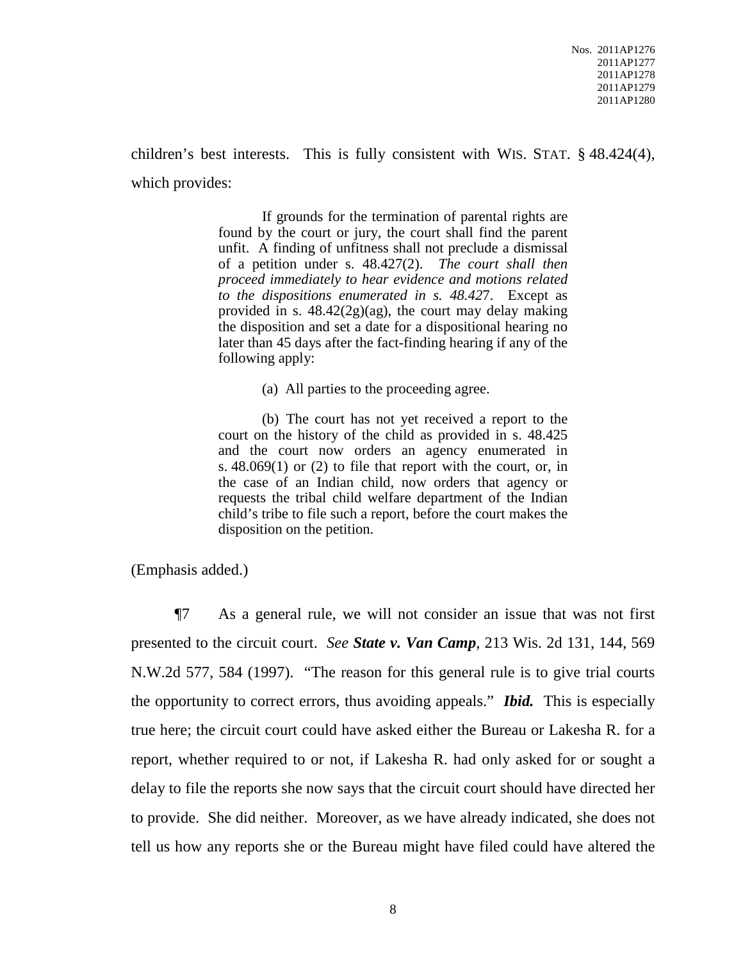children's best interests. This is fully consistent with WIS. STAT. § 48.424(4), which provides:

> If grounds for the termination of parental rights are found by the court or jury, the court shall find the parent unfit. A finding of unfitness shall not preclude a dismissal of a petition under s. 48.427(2). *The court shall then proceed immediately to hear evidence and motions related to the dispositions enumerated in s. 48.42*7. Except as provided in s. 48.42(2g)(ag), the court may delay making the disposition and set a date for a dispositional hearing no later than 45 days after the fact-finding hearing if any of the following apply:

> > (a) All parties to the proceeding agree.

(b) The court has not yet received a report to the court on the history of the child as provided in s. 48.425 and the court now orders an agency enumerated in s. 48.069(1) or (2) to file that report with the court, or, in the case of an Indian child, now orders that agency or requests the tribal child welfare department of the Indian child's tribe to file such a report, before the court makes the disposition on the petition.

(Emphasis added.)

¶7 As a general rule, we will not consider an issue that was not first presented to the circuit court. *See State v. Van Camp*, 213 Wis. 2d 131, 144, 569 N.W.2d 577, 584 (1997). "The reason for this general rule is to give trial courts the opportunity to correct errors, thus avoiding appeals." *Ibid.* This is especially true here; the circuit court could have asked either the Bureau or Lakesha R. for a report, whether required to or not, if Lakesha R. had only asked for or sought a delay to file the reports she now says that the circuit court should have directed her to provide. She did neither. Moreover, as we have already indicated, she does not tell us how any reports she or the Bureau might have filed could have altered the